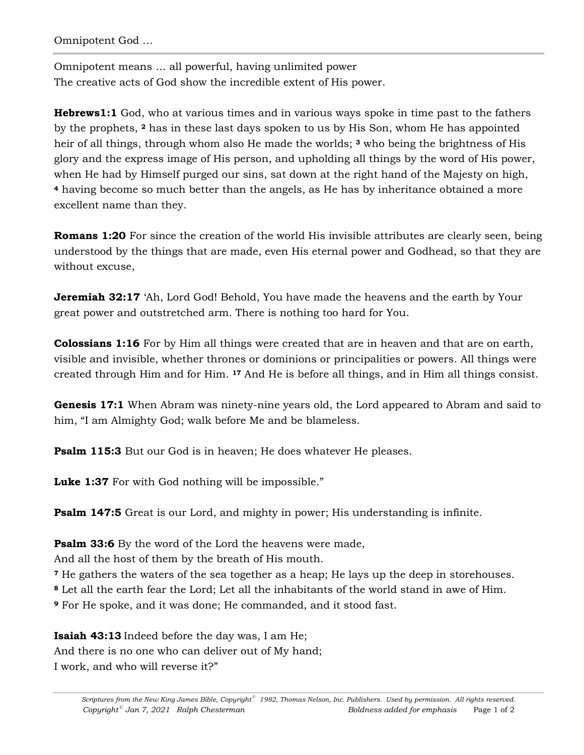Omnipotent God *…* 

Omnipotent means … all powerful, having unlimited power The creative acts of God show the incredible extent of His power.

**Hebrews1:1** God, who at various times and in various ways spoke in time past to the fathers by the prophets, **2** has in these last days spoken to us by His Son, whom He has appointed heir of all things, through whom also He made the worlds; **3** who being the brightness of His glory and the express image of His person, and upholding all things by the word of His power, when He had by Himself purged our sins, sat down at the right hand of the Majesty on high, **<sup>4</sup>** having become so much better than the angels, as He has by inheritance obtained a more excellent name than they.

**Romans 1:20** For since the creation of the world His invisible attributes are clearly seen, being understood by the things that are made, even His eternal power and Godhead, so that they are without excuse,

**Jeremiah 32:17** 'Ah, Lord God! Behold, You have made the heavens and the earth by Your great power and outstretched arm. There is nothing too hard for You.

**Colossians 1:16** For by Him all things were created that are in heaven and that are on earth, visible and invisible, whether thrones or dominions or principalities or powers. All things were created through Him and for Him. **17** And He is before all things, and in Him all things consist.

**Genesis 17:1** When Abram was ninety-nine years old, the Lord appeared to Abram and said to him, "I am Almighty God; walk before Me and be blameless.

**Psalm 115:3** But our God is in heaven; He does whatever He pleases.

**Luke 1:37** For with God nothing will be impossible."

**Psalm 147:5** Great is our Lord, and mighty in power; His understanding is infinite.

**Psalm 33:6** By the word of the Lord the heavens were made,

And all the host of them by the breath of His mouth.

**<sup>7</sup>** He gathers the waters of the sea together as a heap; He lays up the deep in storehouses.

**<sup>8</sup>** Let all the earth fear the Lord; Let all the inhabitants of the world stand in awe of Him.

**<sup>9</sup>** For He spoke, and it was done; He commanded, and it stood fast.

**Isaiah 43:13** Indeed before the day was, I am He; And there is no one who can deliver out of My hand;

I work, and who will reverse it?"